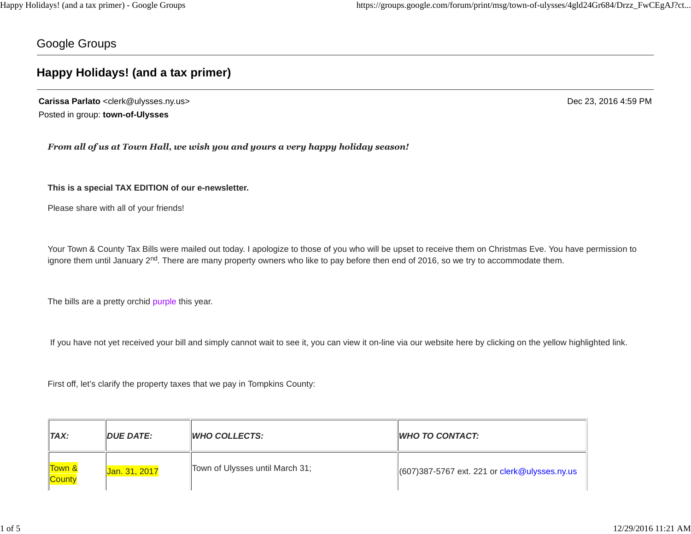Google Groups

# **Happy Holidays! (and a tax primer)**

**Carissa Parlato** <clerk@ulysses.ny.us> Dec 23, 2016 4:59 PM Posted in group: **town-of-Ulysses**

*From all of us at Town Hall, we wish you and yours a very happy holiday season!*

**This is a special TAX EDITION of our e-newsletter.**

Please share with all of your friends!

Your Town & County Tax Bills were mailed out today. I apologize to those of you who will be upset to receive them on Christmas Eve. You have permission to ignore them until January 2<sup>nd</sup>. There are many property owners who like to pay before then end of 2016, so we try to accommodate them.

The bills are a pretty orchid purple this year.

If you have not yet received your bill and simply cannot wait to see it, you can view it on-line via our website here by clicking on the yellow highlighted link.

First off, let's clarify the property taxes that we pay in Tompkins County:

| $\mathsf{T}AX$ : | <b>DUE DATE:</b> | <b>WHO COLLECTS:</b>            | $\parallel$ WHO TO CONTACT:                     |
|------------------|------------------|---------------------------------|-------------------------------------------------|
| Town &<br>County | Jan. 31, 2017    | Town of Ulysses until March 31; | $(607)387-5767$ ext. 221 or clerk@ulysses.ny.us |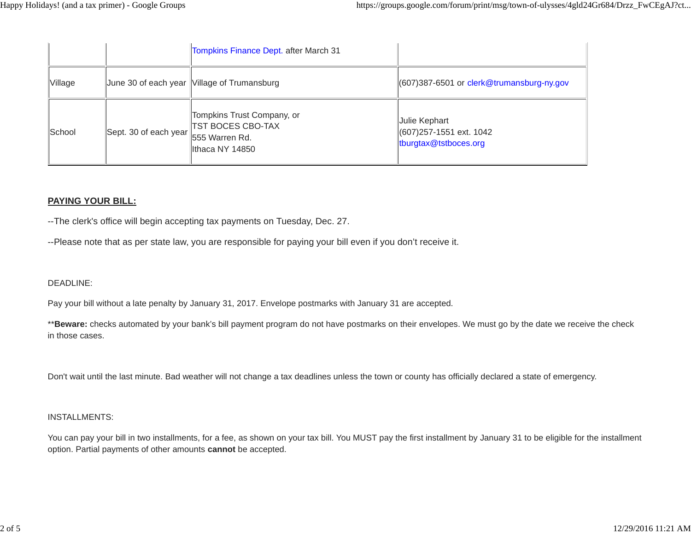|         |                                      | Tompkins Finance Dept. after March 31                                     |                                                                    |
|---------|--------------------------------------|---------------------------------------------------------------------------|--------------------------------------------------------------------|
| Village |                                      | June 30 of each year Village of Trumansburg                               | 607)387-6501 or clerk@trumansburg-ny.gov                           |
| School  | Sept. 30 of each year 555 Warren Rd. | Tompkins Trust Company, or<br><b>TST BOCES CBO-TAX</b><br>Ithaca NY 14850 | Julie Kephart<br>(607) 257-1551 ext. 1042<br>tburgtax@tstboces.org |

## **PAYING YOUR BILL:**

--The clerk's office will begin accepting tax payments on Tuesday, Dec. 27.

--Please note that as per state law, you are responsible for paying your bill even if you don't receive it.

## DEADLINE:

Pay your bill without a late penalty by January 31, 2017. Envelope postmarks with January 31 are accepted.

\*\*Beware: checks automated by your bank's bill payment program do not have postmarks on their envelopes. We must go by the date we receive the check in those cases.

Don't wait until the last minute. Bad weather will not change a tax deadlines unless the town or county has officially declared a state of emergency.

#### INSTALLMENTS:

You can pay your bill in two installments, for a fee, as shown on your tax bill. You MUST pay the first installment by January 31 to be eligible for the installment option. Partial payments of other amounts **cannot** be accepted.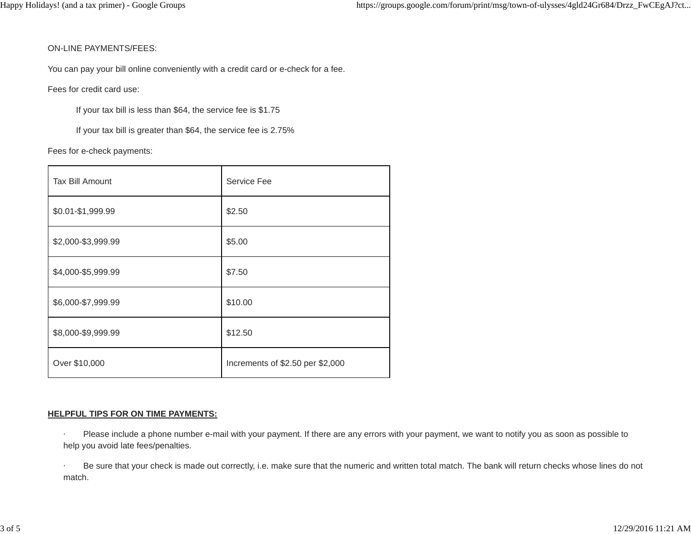#### ON-LINE PAYMENTS/FEES:

You can pay your bill online conveniently with a credit card or e-check for a fee.

Fees for credit card use:

If your tax bill is less than \$64, the service fee is \$1.75

If your tax bill is greater than \$64, the service fee is 2.75%

Fees for e-check payments:

| <b>Tax Bill Amount</b> | Service Fee                      |  |
|------------------------|----------------------------------|--|
| \$0.01-\$1,999.99      | \$2.50                           |  |
| \$2,000-\$3,999.99     | \$5.00                           |  |
| \$4,000-\$5,999.99     | \$7.50                           |  |
| \$6,000-\$7,999.99     | \$10.00                          |  |
| \$8,000-\$9,999.99     | \$12.50                          |  |
| Over \$10,000          | Increments of \$2.50 per \$2,000 |  |

## **HELPFUL TIPS FOR ON TIME PAYMENTS:**

Please include a phone number e-mail with your payment. If there are any errors with your payment, we want to notify you as soon as possible to help you avoid late fees/penalties.

Be sure that your check is made out correctly, i.e. make sure that the numeric and written total match. The bank will return checks whose lines do not match.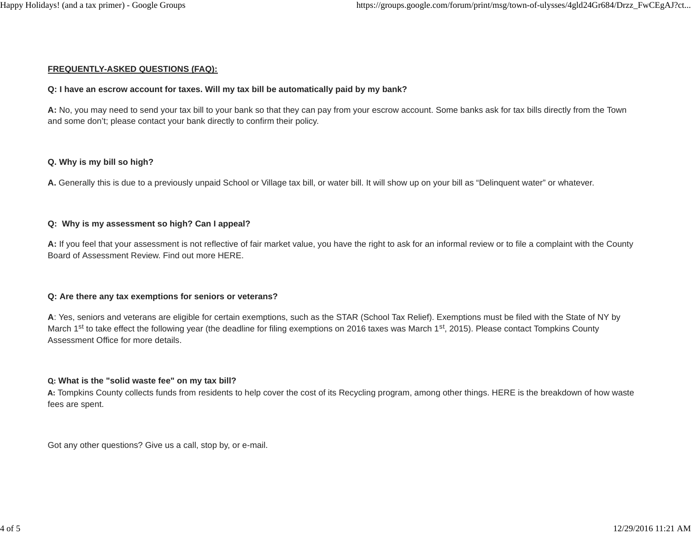#### **FREQUENTLY-ASKED QUESTIONS (FAQ):**

#### **Q: I have an escrow account for taxes. Will my tax bill be automatically paid by my bank?**

**A:** No, you may need to send your tax bill to your bank so that they can pay from your escrow account. Some banks ask for tax bills directly from the Town and some don't; please contact your bank directly to confirm their policy.

#### **Q. Why is my bill so high?**

**A.** Generally this is due to a previously unpaid School or Village tax bill, or water bill. It will show up on your bill as "Delinquent water" or whatever.

#### **Q: Why is my assessment so high? Can I appeal?**

**A:** If you feel that your assessment is not reflective of fair market value, you have the right to ask for an informal review or to file a complaint with the County Board of Assessment Review. Find out more HERE.

## **Q: Are there any tax exemptions for seniors or veterans?**

**A**: Yes, seniors and veterans are eligible for certain exemptions, such as the STAR (School Tax Relief). Exemptions must be filed with the State of NY by March 1<sup>st</sup> to take effect the following year (the deadline for filing exemptions on 2016 taxes was March 1<sup>st</sup>, 2015). Please contact Tompkins County Assessment Office for more details.

#### **Q: What is the "solid waste fee" on my tax bill?**

**A:** Tompkins County collects funds from residents to help cover the cost of its Recycling program, among other things. HERE is the breakdown of how waste fees are spent.

Got any other questions? Give us a call, stop by, or e-mail.